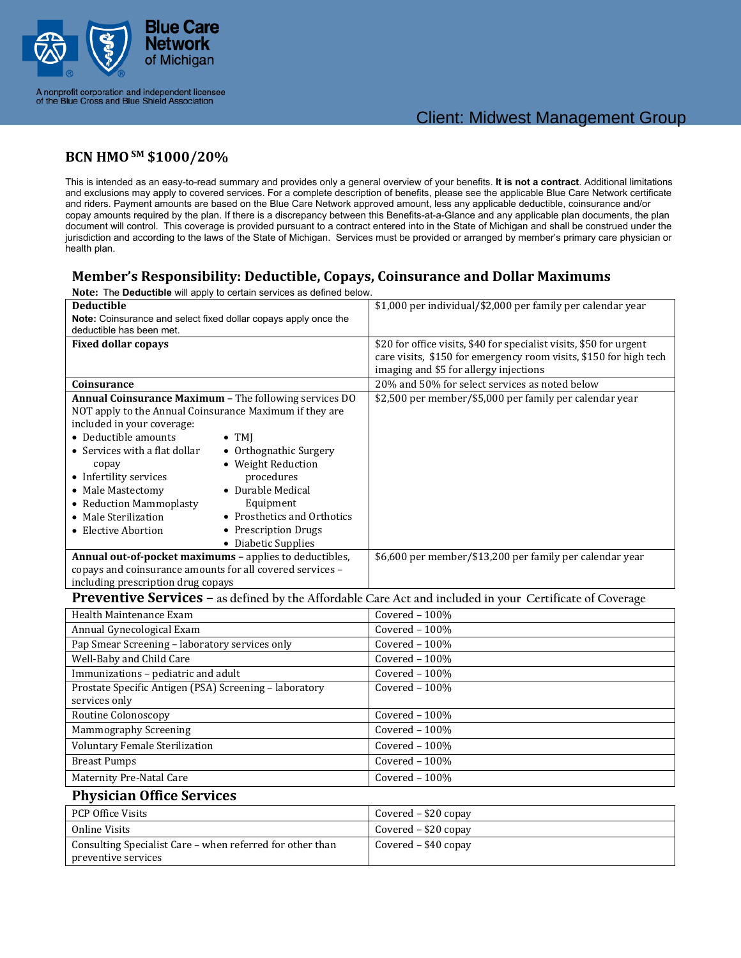

A nonprofit corporation and independent licensee<br>of the Blue Cross and Blue Shield Association

#### **BCN HMOSM \$1000/20%**

This is intended as an easy-to-read summary and provides only a general overview of your benefits. **It is not a contract**. Additional limitations and exclusions may apply to covered services. For a complete description of benefits, please see the applicable Blue Care Network certificate and riders. Payment amounts are based on the Blue Care Network approved amount, less any applicable deductible, coinsurance and/or copay amounts required by the plan. If there is a discrepancy between this Benefits-at-a-Glance and any applicable plan documents, the plan document will control. This coverage is provided pursuant to a contract entered into in the State of Michigan and shall be construed under the jurisdiction and according to the laws of the State of Michigan. Services must be provided or arranged by member's primary care physician or health plan.

## **Member's Responsibility: Deductible, Copays, Coinsurance and Dollar Maximums**

| Note: The Deductible will apply to certain services as defined below.  |                                                                     |
|------------------------------------------------------------------------|---------------------------------------------------------------------|
| <b>Deductible</b>                                                      | \$1,000 per individual/\$2,000 per family per calendar year         |
| <b>Note:</b> Coinsurance and select fixed dollar copays apply once the |                                                                     |
| deductible has been met.                                               |                                                                     |
| <b>Fixed dollar copays</b>                                             | \$20 for office visits, \$40 for specialist visits, \$50 for urgent |
|                                                                        | care visits, \$150 for emergency room visits, \$150 for high tech   |
|                                                                        | imaging and \$5 for allergy injections                              |
| Coinsurance                                                            | 20% and 50% for select services as noted below                      |
| <b>Annual Coinsurance Maximum - The following services DO</b>          | \$2,500 per member/\$5,000 per family per calendar year             |
| NOT apply to the Annual Coinsurance Maximum if they are                |                                                                     |
| included in your coverage:                                             |                                                                     |
| • Deductible amounts<br>$\bullet$ TMI                                  |                                                                     |
| • Services with a flat dollar<br>• Orthognathic Surgery                |                                                                     |
| • Weight Reduction<br>copay                                            |                                                                     |
| • Infertility services<br>procedures                                   |                                                                     |
| • Durable Medical<br>• Male Mastectomy                                 |                                                                     |
| Equipment<br>• Reduction Mammoplasty                                   |                                                                     |
| • Prosthetics and Orthotics<br>• Male Sterilization                    |                                                                     |
| • Prescription Drugs<br>• Elective Abortion                            |                                                                     |
| • Diabetic Supplies                                                    |                                                                     |
| Annual out-of-pocket maximums - applies to deductibles,                | \$6,600 per member/\$13,200 per family per calendar year            |
| copays and coinsurance amounts for all covered services -              |                                                                     |
| including prescription drug copays                                     |                                                                     |

#### **Preventive Services – as defined by the Affordable Care Act and included in your Certificate of Coverage**

| Health Maintenance Exam                                | Covered $-100\%$ |
|--------------------------------------------------------|------------------|
| Annual Gynecological Exam                              | Covered $-100\%$ |
| Pap Smear Screening - laboratory services only         | Covered $-100\%$ |
| Well-Baby and Child Care                               | Covered $-100\%$ |
| Immunizations - pediatric and adult                    | Covered $-100\%$ |
| Prostate Specific Antigen (PSA) Screening - laboratory | Covered $-100\%$ |
| services only                                          |                  |
| Routine Colonoscopy                                    | Covered $-100\%$ |
| Mammography Screening                                  | Covered $-100\%$ |
| <b>Voluntary Female Sterilization</b>                  | Covered $-100\%$ |
| <b>Breast Pumps</b>                                    | Covered $-100\%$ |
| Maternity Pre-Natal Care                               | Covered $-100\%$ |

#### **Physician Office Services**

| PCP Office Visits                                         | Covered – \$20 copay   |
|-----------------------------------------------------------|------------------------|
| Online Visits                                             | Covered – \$20 copay   |
| Consulting Specialist Care – when referred for other than | Covered $-$ \$40 copay |
| preventive services                                       |                        |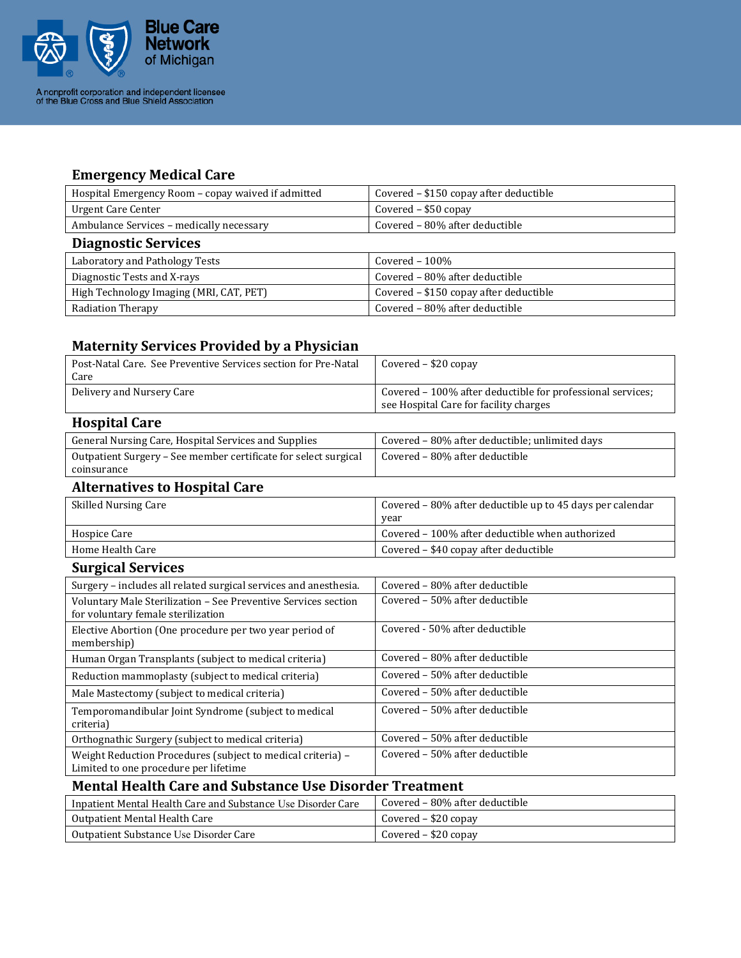

## **Emergency Medical Care**

| Hospital Emergency Room - copay waived if admitted | Covered – \$150 copay after deductible |
|----------------------------------------------------|----------------------------------------|
| Urgent Care Center                                 | Covered $-$ \$50 copay                 |
| Ambulance Services - medically necessary           | Covered - 80% after deductible         |
| <b>Diagnostic Services</b>                         |                                        |
| Laboratory and Pathology Tests                     | Covered $-100\%$                       |
| Diagnostic Tests and X-rays                        | Covered - 80% after deductible         |
| High Technology Imaging (MRI, CAT, PET)            | Covered - \$150 copay after deductible |
| <b>Radiation Therapy</b>                           | Covered - 80% after deductible         |

# **Maternity Services Provided by a Physician**

| Post-Natal Care. See Preventive Services section for Pre-Natal<br>Care                               | Covered - \$20 copay                                                                                 |
|------------------------------------------------------------------------------------------------------|------------------------------------------------------------------------------------------------------|
| Delivery and Nursery Care                                                                            | Covered - 100% after deductible for professional services;<br>see Hospital Care for facility charges |
| <b>Hospital Care</b>                                                                                 |                                                                                                      |
| General Nursing Care, Hospital Services and Supplies                                                 | Covered - 80% after deductible; unlimited days                                                       |
| Outpatient Surgery - See member certificate for select surgical<br>coinsurance                       | Covered - 80% after deductible                                                                       |
| <b>Alternatives to Hospital Care</b>                                                                 |                                                                                                      |
| <b>Skilled Nursing Care</b>                                                                          | Covered – 80% after deductible up to 45 days per calendar<br>year                                    |
| Hospice Care                                                                                         | Covered - 100% after deductible when authorized                                                      |
| Home Health Care                                                                                     | Covered - \$40 copay after deductible                                                                |
| <b>Surgical Services</b>                                                                             |                                                                                                      |
| Surgery – includes all related surgical services and anesthesia.                                     | Covered - 80% after deductible                                                                       |
| Voluntary Male Sterilization - See Preventive Services section<br>for voluntary female sterilization | Covered - 50% after deductible                                                                       |
| Elective Abortion (One procedure per two year period of<br>membership)                               | Covered - 50% after deductible                                                                       |
| Human Organ Transplants (subject to medical criteria)                                                | Covered - 80% after deductible                                                                       |
| Reduction mammoplasty (subject to medical criteria)                                                  | Covered - 50% after deductible                                                                       |
| Male Mastectomy (subject to medical criteria)                                                        | Covered - 50% after deductible                                                                       |
| Temporomandibular Joint Syndrome (subject to medical<br>criteria)                                    | Covered - 50% after deductible                                                                       |
| Orthognathic Surgery (subject to medical criteria)                                                   | Covered - 50% after deductible                                                                       |
| Weight Reduction Procedures (subject to medical criteria) -<br>Limited to one procedure per lifetime | Covered - 50% after deductible                                                                       |

## **Mental Health Care and Substance Use Disorder Treatment**

| Inpatient Mental Health Care and Substance Use Disorder Care | Covered – 80% after deductible |
|--------------------------------------------------------------|--------------------------------|
| Outpatient Mental Health Care                                | Covered – \$20 copay           |
| Outpatient Substance Use Disorder Care                       | Covered – \$20 copay           |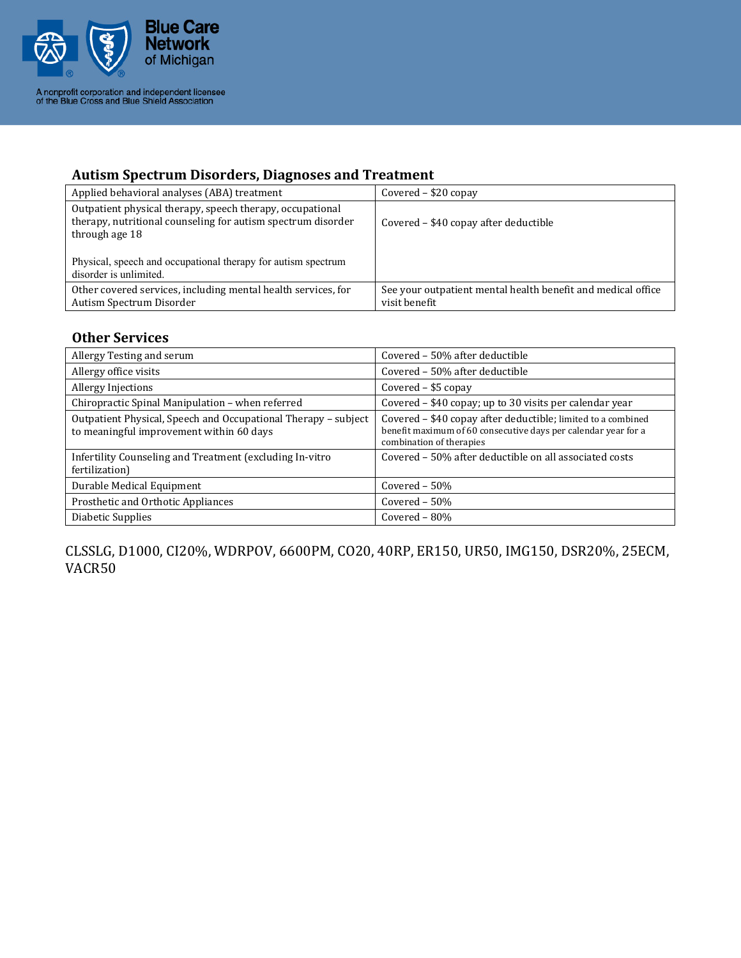

A nonprofit corporation and independent licensee<br>of the Blue Cross and Blue Shield Association

# **Autism Spectrum Disorders, Diagnoses and Treatment**

| Applied behavioral analyses (ABA) treatment                                                                                                                                                                  | Covered $-$ \$20 copay                                                        |
|--------------------------------------------------------------------------------------------------------------------------------------------------------------------------------------------------------------|-------------------------------------------------------------------------------|
| Outpatient physical therapy, speech therapy, occupational<br>therapy, nutritional counseling for autism spectrum disorder<br>through age 18<br>Physical, speech and occupational therapy for autism spectrum | Covered – \$40 copay after deductible                                         |
| disorder is unlimited.                                                                                                                                                                                       |                                                                               |
| Other covered services, including mental health services, for<br>Autism Spectrum Disorder                                                                                                                    | See your outpatient mental health benefit and medical office<br>visit benefit |

#### **Other Services**

| Allergy Testing and serum                                                                                  | Covered – 50% after deductible                                                                                                                             |
|------------------------------------------------------------------------------------------------------------|------------------------------------------------------------------------------------------------------------------------------------------------------------|
| Allergy office visits                                                                                      | Covered - 50% after deductible                                                                                                                             |
| <b>Allergy Injections</b>                                                                                  | Covered $-$ \$5 copay                                                                                                                                      |
| Chiropractic Spinal Manipulation – when referred                                                           | Covered – \$40 copay; up to 30 visits per calendar year                                                                                                    |
| Outpatient Physical, Speech and Occupational Therapy - subject<br>to meaningful improvement within 60 days | Covered - \$40 copay after deductible; limited to a combined<br>benefit maximum of 60 consecutive days per calendar year for a<br>combination of therapies |
| Infertility Counseling and Treatment (excluding In-vitro<br>fertilization)                                 | Covered – 50% after deductible on all associated costs                                                                                                     |
| Durable Medical Equipment                                                                                  | Covered $-50\%$                                                                                                                                            |
| Prosthetic and Orthotic Appliances                                                                         | Covered $-50\%$                                                                                                                                            |
| Diabetic Supplies                                                                                          | Covered $-80%$                                                                                                                                             |

CLSSLG, D1000, CI20%, WDRPOV, 6600PM, CO20, 40RP, ER150, UR50, IMG150, DSR20%, 25ECM, VACR50